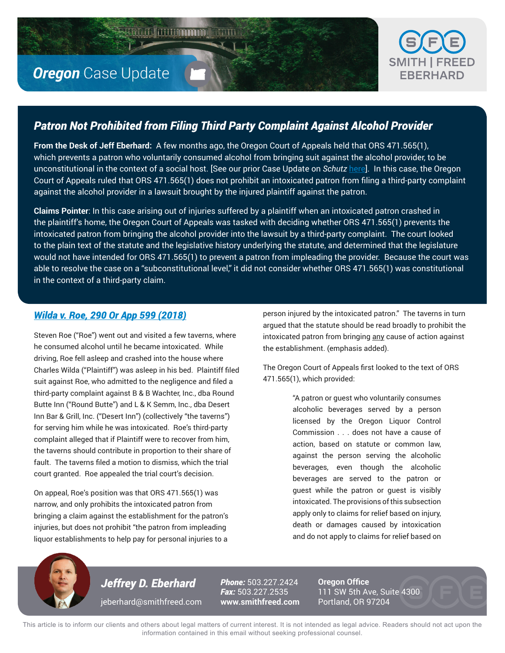## **Oregon** Case Update



#### *Patron Not Prohibited from Filing Third Party Complaint Against Alcohol Provider*

**From the Desk of Jeff Eberhard:** A few months ago, the Oregon Court of Appeals held that ORS 471.565(1), which prevents a patron who voluntarily consumed alcohol from bringing suit against the alcohol provider, to be unconstitutional in the context of a social host. [See our prior Case Update on *Schutz* [here\]](https://smithfreed.com/resource/oregon-case-law-update-plaintiff-voluntarily-consumed-alcohol-may-sue-social-host-effect-business-unclear/). In this case, the Oregon Court of Appeals ruled that ORS 471.565(1) does not prohibit an intoxicated patron from filing a third-party complaint against the alcohol provider in a lawsuit brought by the injured plaintiff against the patron.

**Claims Pointer**: In this case arising out of injuries suffered by a plaintiff when an intoxicated patron crashed in the plaintiff's home, the Oregon Court of Appeals was tasked with deciding whether ORS 471.565(1) prevents the intoxicated patron from bringing the alcohol provider into the lawsuit by a third-party complaint. The court looked to the plain text of the statute and the legislative history underlying the statute, and determined that the legislature would not have intended for ORS 471.565(1) to prevent a patron from impleading the provider. Because the court was able to resolve the case on a "subconstitutional level," it did not consider whether ORS 471.565(1) was constitutional in the context of a third-party claim.

#### *Wilda v. Roe, 290 Or App 599 (2018)*

Steven Roe ("Roe") went out and visited a few taverns, where he consumed alcohol until he became intoxicated. While driving, Roe fell asleep and crashed into the house where Charles Wilda ("Plaintiff") was asleep in his bed. Plaintiff filed suit against Roe, who admitted to the negligence and filed a third-party complaint against B & B Wachter, Inc., dba Round Butte Inn ("Round Butte") and L & K Semm, Inc., dba Desert Inn Bar & Grill, Inc. ("Desert Inn") (collectively "the taverns") for serving him while he was intoxicated. Roe's third-party complaint alleged that if Plaintiff were to recover from him, the taverns should contribute in proportion to their share of fault. The taverns filed a motion to dismiss, which the trial court granted. Roe appealed the trial court's decision.

On appeal, Roe's position was that ORS 471.565(1) was narrow, and only prohibits the intoxicated patron from bringing a claim against the establishment for the patron's injuries, but does not prohibit "the patron from impleading liquor establishments to help pay for personal injuries to a

person injured by the intoxicated patron." The taverns in turn argued that the statute should be read broadly to prohibit the intoxicated patron from bringing any cause of action against the establishment. (emphasis added).

The Oregon Court of Appeals first looked to the text of ORS 471.565(1), which provided:

> "A patron or guest who voluntarily consumes alcoholic beverages served by a person licensed by the Oregon Liquor Control Commission . . . does not have a cause of action, based on statute or common law, against the person serving the alcoholic beverages, even though the alcoholic beverages are served to the patron or guest while the patron or guest is visibly intoxicated. The provisions of this subsection apply only to claims for relief based on injury, death or damages caused by intoxication and do not apply to claims for relief based on



### *Jeffrey D. Eberhard*

jeberhard@smithfreed.com

*Phone:* 503.227.2424 *Fax:* 503.227.2535 **www.smithfreed.com** **Oregon Office** 111 SW 5th Ave, Suite 4300 Portland, OR 97204

This article is to inform our clients and others about legal matters of current interest. It is not intended as legal advice. Readers should not act upon the information contained in this email without seeking professional counsel.